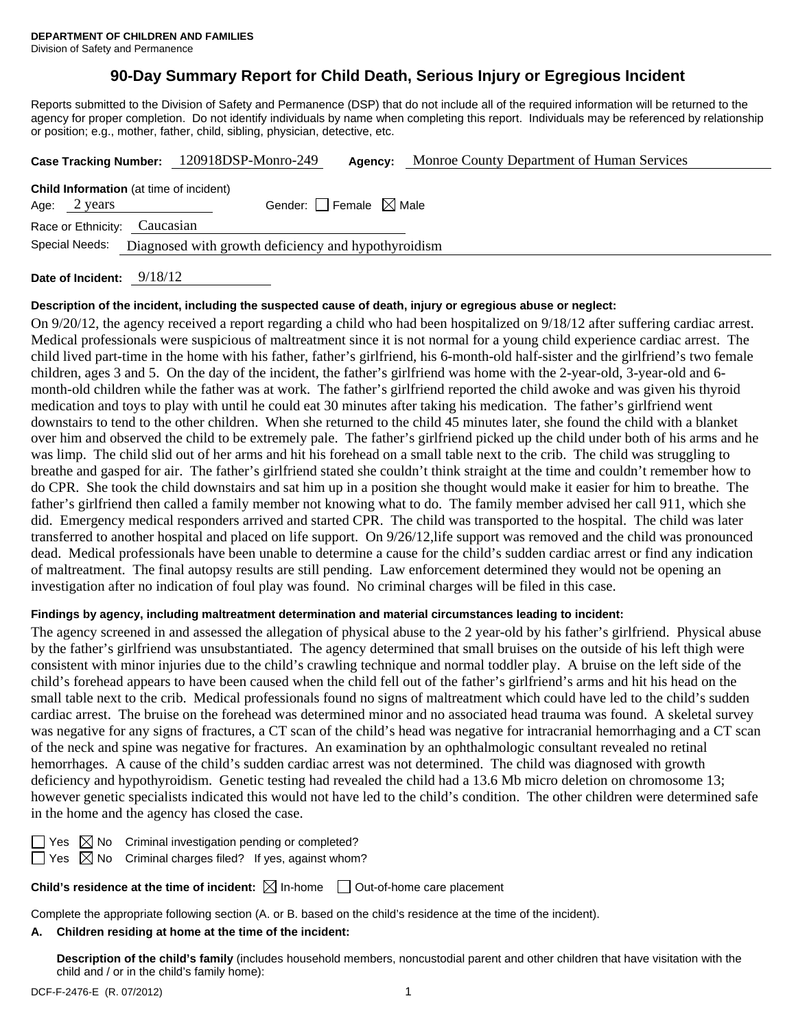# **90-Day Summary Report for Child Death, Serious Injury or Egregious Incident**

Reports submitted to the Division of Safety and Permanence (DSP) that do not include all of the required information will be returned to the agency for proper completion. Do not identify individuals by name when completing this report. Individuals may be referenced by relationship or position; e.g., mother, father, child, sibling, physician, detective, etc.

|                                                                       | Case Tracking Number: 120918DSP-Monro-249 | Agency: | Monroe County Department of Human Services |  |  |  |
|-----------------------------------------------------------------------|-------------------------------------------|---------|--------------------------------------------|--|--|--|
| <b>Child Information</b> (at time of incident)                        |                                           |         |                                            |  |  |  |
| Age: $2 \text{ years}$                                                | Gender: Female $\boxtimes$ Male           |         |                                            |  |  |  |
| Race or Ethnicity: Caucasian                                          |                                           |         |                                            |  |  |  |
| Special Needs:<br>Diagnosed with growth deficiency and hypothyroidism |                                           |         |                                            |  |  |  |
| 0.11011                                                               |                                           |         |                                            |  |  |  |

# **Date of Incident:** 9/18/12

#### **Description of the incident, including the suspected cause of death, injury or egregious abuse or neglect:**

On 9/20/12, the agency received a report regarding a child who had been hospitalized on 9/18/12 after suffering cardiac arrest. Medical professionals were suspicious of maltreatment since it is not normal for a young child experience cardiac arrest. The child lived part-time in the home with his father, father's girlfriend, his 6-month-old half-sister and the girlfriend's two female children, ages 3 and 5. On the day of the incident, the father's girlfriend was home with the 2-year-old, 3-year-old and 6 month-old children while the father was at work. The father's girlfriend reported the child awoke and was given his thyroid medication and toys to play with until he could eat 30 minutes after taking his medication. The father's girlfriend went downstairs to tend to the other children. When she returned to the child 45 minutes later, she found the child with a blanket over him and observed the child to be extremely pale. The father's girlfriend picked up the child under both of his arms and he was limp. The child slid out of her arms and hit his forehead on a small table next to the crib. The child was struggling to breathe and gasped for air. The father's girlfriend stated she couldn't think straight at the time and couldn't remember how to do CPR. She took the child downstairs and sat him up in a position she thought would make it easier for him to breathe. The father's girlfriend then called a family member not knowing what to do. The family member advised her call 911, which she did. Emergency medical responders arrived and started CPR. The child was transported to the hospital. The child was later transferred to another hospital and placed on life support. On 9/26/12,life support was removed and the child was pronounced dead. Medical professionals have been unable to determine a cause for the child's sudden cardiac arrest or find any indication of maltreatment. The final autopsy results are still pending. Law enforcement determined they would not be opening an investigation after no indication of foul play was found. No criminal charges will be filed in this case.

## **Findings by agency, including maltreatment determination and material circumstances leading to incident:**

The agency screened in and assessed the allegation of physical abuse to the 2 year-old by his father's girlfriend. Physical abuse by the father's girlfriend was unsubstantiated. The agency determined that small bruises on the outside of his left thigh were consistent with minor injuries due to the child's crawling technique and normal toddler play. A bruise on the left side of the child's forehead appears to have been caused when the child fell out of the father's girlfriend's arms and hit his head on the small table next to the crib. Medical professionals found no signs of maltreatment which could have led to the child's sudden cardiac arrest. The bruise on the forehead was determined minor and no associated head trauma was found. A skeletal survey was negative for any signs of fractures, a CT scan of the child's head was negative for intracranial hemorrhaging and a CT scan of the neck and spine was negative for fractures. An examination by an ophthalmologic consultant revealed no retinal hemorrhages. A cause of the child's sudden cardiac arrest was not determined. The child was diagnosed with growth deficiency and hypothyroidism. Genetic testing had revealed the child had a 13.6 Mb micro deletion on chromosome 13; however genetic specialists indicated this would not have led to the child's condition. The other children were determined safe in the home and the agency has closed the case.

 $\boxtimes$  No Criminal investigation pending or completed? Yes  $\boxtimes$  No Criminal charges filed? If yes, against whom?

**Child's residence at the time of incident:**  $\boxtimes$  In-home  $\Box$  Out-of-home care placement

Complete the appropriate following section (A. or B. based on the child's residence at the time of the incident).

## **A. Children residing at home at the time of the incident:**

**Description of the child's family** (includes household members, noncustodial parent and other children that have visitation with the child and / or in the child's family home):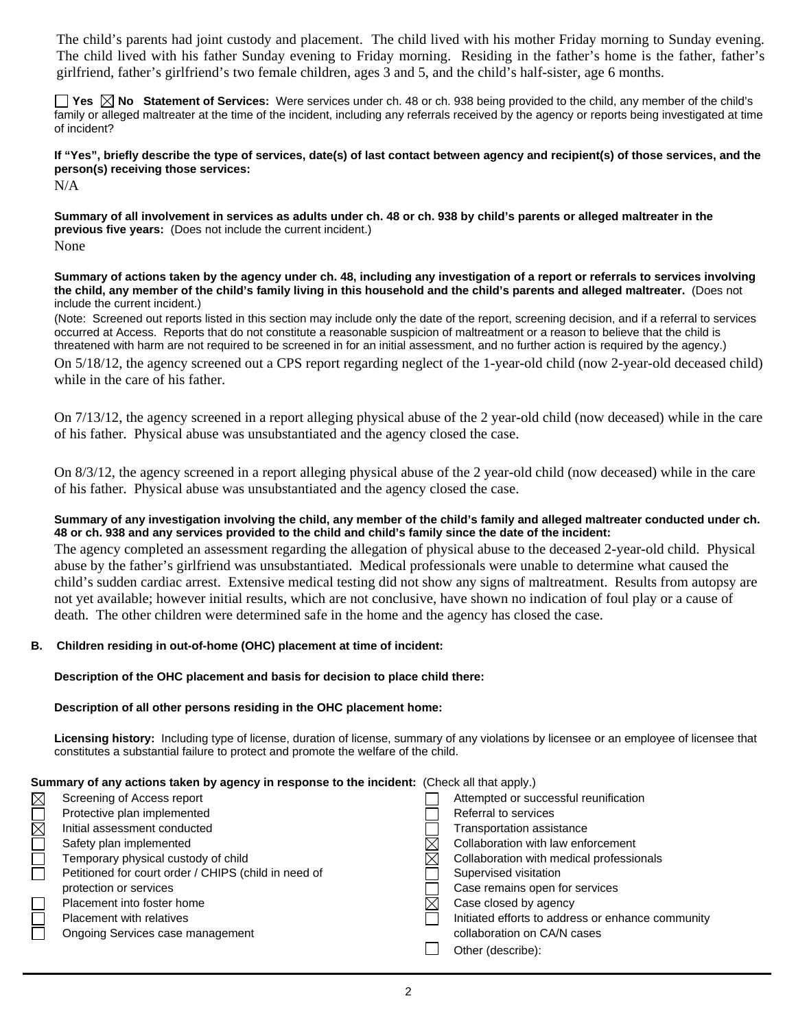The child's parents had joint custody and placement. The child lived with his mother Friday morning to Sunday evening. The child lived with his father Sunday evening to Friday morning. Residing in the father's home is the father, father's girlfriend, father's girlfriend's two female children, ages 3 and 5, and the child's half-sister, age 6 months.

■ Yes **No** Statement of Services: Were services under ch. 48 or ch. 938 being provided to the child, any member of the child's family or alleged maltreater at the time of the incident, including any referrals received by the agency or reports being investigated at time of incident?

**If "Yes", briefly describe the type of services, date(s) of last contact between agency and recipient(s) of those services, and the person(s) receiving those services:** 

N/A

**Summary of all involvement in services as adults under ch. 48 or ch. 938 by child's parents or alleged maltreater in the previous five years:** (Does not include the current incident.)

None

**Summary of actions taken by the agency under ch. 48, including any investigation of a report or referrals to services involving the child, any member of the child's family living in this household and the child's parents and alleged maltreater.** (Does not include the current incident.)

(Note: Screened out reports listed in this section may include only the date of the report, screening decision, and if a referral to services occurred at Access. Reports that do not constitute a reasonable suspicion of maltreatment or a reason to believe that the child is threatened with harm are not required to be screened in for an initial assessment, and no further action is required by the agency.)

On 5/18/12, the agency screened out a CPS report regarding neglect of the 1-year-old child (now 2-year-old deceased child) while in the care of his father.

On 7/13/12, the agency screened in a report alleging physical abuse of the 2 year-old child (now deceased) while in the care of his father. Physical abuse was unsubstantiated and the agency closed the case.

On 8/3/12, the agency screened in a report alleging physical abuse of the 2 year-old child (now deceased) while in the care of his father. Physical abuse was unsubstantiated and the agency closed the case.

## **Summary of any investigation involving the child, any member of the child's family and alleged maltreater conducted under ch. 48 or ch. 938 and any services provided to the child and child's family since the date of the incident:**

The agency completed an assessment regarding the allegation of physical abuse to the deceased 2-year-old child. Physical abuse by the father's girlfriend was unsubstantiated. Medical professionals were unable to determine what caused the child's sudden cardiac arrest. Extensive medical testing did not show any signs of maltreatment. Results from autopsy are not yet available; however initial results, which are not conclusive, have shown no indication of foul play or a cause of death. The other children were determined safe in the home and the agency has closed the case.

## **B. Children residing in out-of-home (OHC) placement at time of incident:**

## **Description of the OHC placement and basis for decision to place child there:**

## **Description of all other persons residing in the OHC placement home:**

**Licensing history:** Including type of license, duration of license, summary of any violations by licensee or an employee of licensee that constitutes a substantial failure to protect and promote the welfare of the child.

| Summary of any actions taken by agency in response to the incident: (Check all that apply.) |  |
|---------------------------------------------------------------------------------------------|--|
|---------------------------------------------------------------------------------------------|--|

| Screening of Access report                           | Attempted or successful reunification             |
|------------------------------------------------------|---------------------------------------------------|
| Protective plan implemented                          | Referral to services                              |
| Initial assessment conducted                         | Transportation assistance                         |
| Safety plan implemented                              | Collaboration with law enforcement                |
| Temporary physical custody of child                  | Collaboration with medical professionals          |
| Petitioned for court order / CHIPS (child in need of | Supervised visitation                             |
| protection or services                               | Case remains open for services                    |
| Placement into foster home                           | Case closed by agency                             |
| Placement with relatives                             | Initiated efforts to address or enhance community |
| Ongoing Services case management                     | collaboration on CA/N cases                       |
|                                                      | Other (describe):                                 |
|                                                      |                                                   |